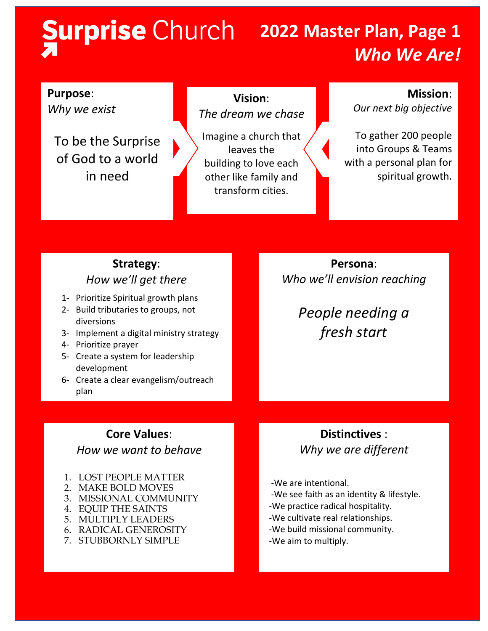# **2022 Master Plan, Page 1**

## *Who We Are!*

## **Purpose**:

*Why we exist*

To be the Surprise of God to a world in need

### **Vision**: *The dream we chase*

Imagine a church that leaves the building to love each other like family and transform cities.

### **Mission**:

*Our next big objective*

To gather 200 people into Groups & Teams with a personal plan for spiritual growth.

## **Strategy**: *How we'll get there*

- 1- Prioritize Spiritual growth plans
- 2- Build tributaries to groups, not diversions
- 3- Implement a digital ministry strategy
- 4- Prioritize prayer
- 5- Create a system for leadership development
- 6- Create a clear evangelism/outreach plan

### **Core Values**:

### *How we want to behave*

- 1. LOST PEOPLE MATTER
- 2. MAKE BOLD MOVES
- 3. MISSIONAL COMMUNITY
- 4. EQUIP THE SAINTS
- 5. MULTIPLY LEADERS
	- 6. RADICAL GENEROSITY
	- 7. STUBBORNLY SIMPLE

**Persona**: *Who we'll envision reaching*

> *People needing a fresh start*

## **Distinctives** : *Why we are different*

-We are intentional.

- -We see faith as an identity & lifestyle.
- -We practice radical hospitality.
- -We cultivate real relationships.
- -We build missional community.
- -We aim to multiply.